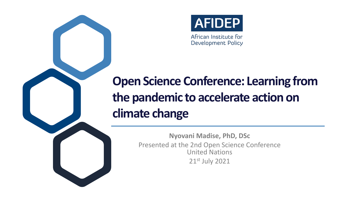

## **Open Science Conference: Learning from the pandemic to accelerate action on climate change**

**Nyovani Madise, PhD, DSc** Presented at the 2nd Open Science Conference United Nations 21st July 2021



African Institute for Development Policy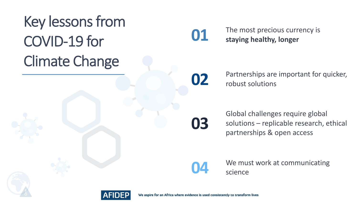## Key lessons from COVID-19 for Climate Change

#### The most precious currency is **01 staying healthy, longer**





**02** Partnerships are important for quicker,<br>robust solutions

We aspire for an Africa where evidence is used consistently to transform lives

Global challenges require global solutions – replicable research, ethical partnerships & open access



We must work at communicating<br>science

**03**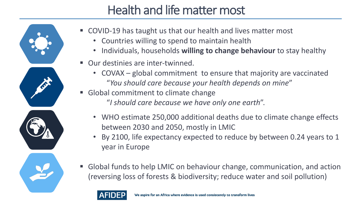#### Health and life matter most



■ Global funds to help LMIC on behaviour change, communication, and action (reversing loss of forests & biodiversity; reduce water and soil pollution)

- COVID-19 has taught us that our health and lives matter most
	- Countries willing to spend to maintain health
	- Individuals, households **willing to change behaviour** to stay healthy
- Our destinies are inter-twinned.
	- COVAX global commitment to ensure that majority are vaccinated "*You should care because your health depends on mine*"
- Global commitment to climate change "*I should care because we have only one earth*".
	- WHO estimate 250,000 additional deaths due to climate change effects between 2030 and 2050, mostly in LMIC
	- year in Europe
- 



• By 2100, life expectancy expected to reduce by between 0.24 years to 1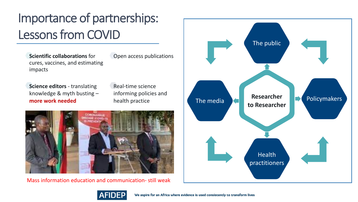**Scientific collaborations** for cures, vaccines, and estimating

**more work needed**





We aspire for an Africa where evidence is used consistently to transform lives

### Importance of partnerships: Lessons from COVID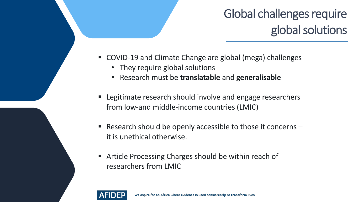### Global challenges require global solutions



- COVID-19 and Climate Change are global (mega) challenges • They require global solutions
	-
	- Research must be **translatable** and **generalisable**
- Legitimate research should involve and engage researchers from low-and middle-income countries (LMIC)
- **Research should be openly accessible to those it concerns**  $$ it is unethical otherwise.
- Article Processing Charges should be within reach of researchers from LMIC

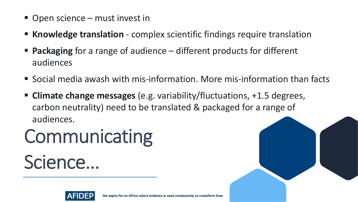# Communicating Science…





- Open science must invest in
- **EXT Knowledge translation** complex scientific findings require translation ■ **Packaging** for a range of audience – different products for different
- audiences
- § Social media awash with mis-information. More mis-information than facts
- § **Climate change messages** (e.g. variability/fluctuations, +1.5 degrees, carbon neutrality) need to be translated & packaged for a range of audiences.